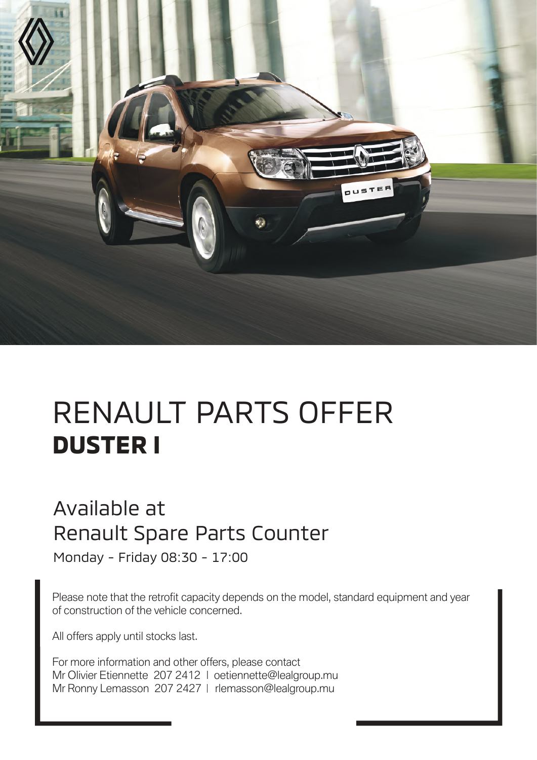

# RENAULT PARTS OFFER **DUSTER I**

#### Available at Renault Spare Parts Counter

Monday - Friday 08:30 - 17:00

Please note that the retrofit capacity depends on the model, standard equipment and year of construction of the vehicle concerned.

All offers apply until stocks last.

For more information and other offers, please contact Mr Olivier Etiennette 207 2412 | oetiennette@lealgroup.mu Mr Ronny Lemasson 207 2427 | rlemasson@lealgroup.mu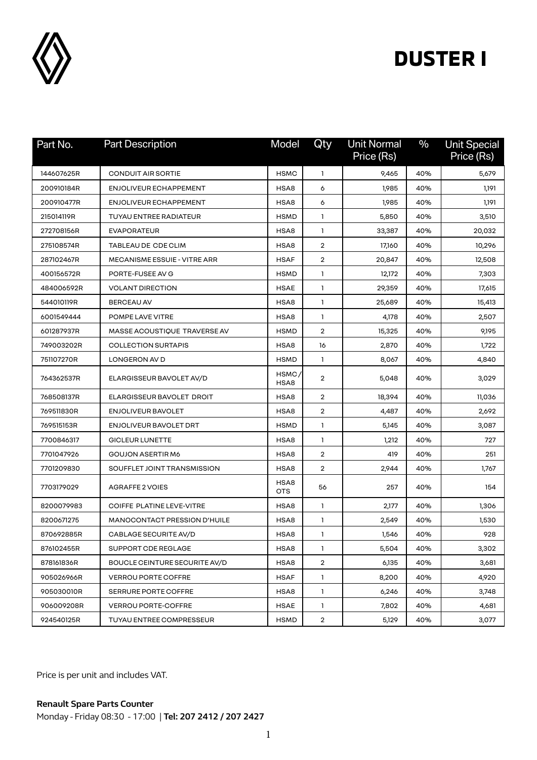

| Part No.   | <b>Part Description</b>             | Model              | Qty            | <b>Unit Normal</b><br>Price (Rs) | $\%$ | <b>Unit Special</b><br>Price (Rs) |
|------------|-------------------------------------|--------------------|----------------|----------------------------------|------|-----------------------------------|
| 144607625R | <b>CONDUIT AIR SORTIE</b>           | <b>HSMC</b>        | 1              | 9,465                            | 40%  | 5,679                             |
| 200910184R | ENJOLIVEUR ECHAPPEMENT              | HSA8               | 6              | 1,985                            | 40%  | 1,191                             |
| 200910477R | ENJOLIVEUR ECHAPPEMENT              | HSA8               | 6              | 1,985                            | 40%  | 1,191                             |
| 215014119R | <b>TUYAU ENTREE RADIATEUR</b>       | <b>HSMD</b>        | 1              | 5,850                            | 40%  | 3,510                             |
| 272708156R | <b>EVAPORATEUR</b>                  | HSA8               | $\mathbf{1}$   | 33,387                           | 40%  | 20,032                            |
| 275108574R | TABLEAU DE CDE CLIM                 | HSA8               | 2              | 17,160                           | 40%  | 10,296                            |
| 287102467R | <b>MECANISME ESSUIE - VITRE ARR</b> | <b>HSAF</b>        | 2              | 20,847                           | 40%  | 12,508                            |
| 400156572R | PORTE-FUSEE AV G                    | <b>HSMD</b>        | 1              | 12,172                           | 40%  | 7,303                             |
| 484006592R | <b>VOLANT DIRECTION</b>             | <b>HSAE</b>        | 1              | 29,359                           | 40%  | 17,615                            |
| 544010119R | <b>BERCEAU AV</b>                   | HSA8               | 1              | 25,689                           | 40%  | 15,413                            |
| 6001549444 | POMPE LAVE VITRE                    | HSA8               | $\mathbf{1}$   | 4,178                            | 40%  | 2,507                             |
| 601287937R | MASSE ACOUSTIQUE TRAVERSE AV        | <b>HSMD</b>        | 2              | 15,325                           | 40%  | 9,195                             |
| 749003202R | <b>COLLECTION SURTAPIS</b>          | HSA8               | 16             | 2,870                            | 40%  | 1,722                             |
| 751107270R | LONGERON AV D                       | <b>HSMD</b>        | 1              | 8,067                            | 40%  | 4,840                             |
| 764362537R | ELARGISSEUR BAVOLET AV/D            | HSMC/<br>HSA8      | $\overline{2}$ | 5,048                            | 40%  | 3,029                             |
| 768508137R | ELARGISSEUR BAVOLET DROIT           | HSA8               | $\overline{2}$ | 18,394                           | 40%  | 11,036                            |
| 769511830R | ENJOLIVEUR BAVOLET                  | HSA8               | $\overline{2}$ | 4,487                            | 40%  | 2,692                             |
| 769515153R | ENJOLIVEUR BAVOLET DRT              | <b>HSMD</b>        | $\mathbf{1}$   | 5,145                            | 40%  | 3,087                             |
| 7700846317 | <b>GICLEUR LUNETTE</b>              | HSA8               | 1              | 1,212                            | 40%  | 727                               |
| 7701047926 | GOUJON ASERTIR M6                   | HSA8               | $\overline{2}$ | 419                              | 40%  | 251                               |
| 7701209830 | SOUFFLET JOINT TRANSMISSION         | HSA8               | $\overline{2}$ | 2,944                            | 40%  | 1,767                             |
| 7703179029 | AGRAFFE 2 VOIES                     | HSA8<br><b>OTS</b> | 56             | 257                              | 40%  | 154                               |
| 8200079983 | COIFFE PLATINE LEVE-VITRE           | HSA8               | 1              | 2,177                            | 40%  | 1,306                             |
| 8200671275 | MANOCONTACT PRESSION D'HUILE        | HSA8               | 1              | 2,549                            | 40%  | 1,530                             |
| 870692885R | CABLAGE SECURITE AV/D               | HSA8               | 1              | 1,546                            | 40%  | 928                               |
| 876102455R | SUPPORT CDE REGLAGE                 | HSA8               | 1              | 5,504                            | 40%  | 3,302                             |
| 878161836R | BOUCLE CEINTURE SECURITE AV/D       | HSA8               | $\overline{2}$ | 6,135                            | 40%  | 3,681                             |
| 905026966R | <b>VERROU PORTE COFFRE</b>          | <b>HSAF</b>        | $\mathbf{1}$   | 8,200                            | 40%  | 4,920                             |
| 905030010R | SERRURE PORTE COFFRE                | HSA8               | $\mathbf{1}$   | 6,246                            | 40%  | 3,748                             |
| 906009208R | <b>VERROU PORTE-COFFRE</b>          | <b>HSAE</b>        | 1              | 7,802                            | 40%  | 4,681                             |
| 924540125R | TUYAU ENTREE COMPRESSEUR            | <b>HSMD</b>        | $\overline{2}$ | 5,129                            | 40%  | 3,077                             |

Price is per unit and includes VAT.

**Renault Spare Parts Counter**  Monday - Friday 08:30 - 17:00 | **Tel: 207 2412 / 207 2427**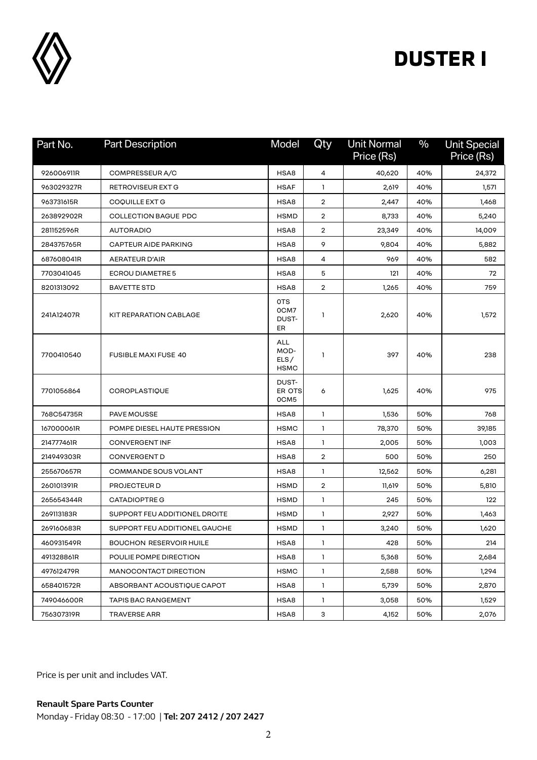

| Part No.   | <b>Part Description</b>        | Model                                     | Qty            | <b>Unit Normal</b><br>Price (Rs) | $\frac{0}{0}$ | <b>Unit Special</b><br>Price (Rs) |
|------------|--------------------------------|-------------------------------------------|----------------|----------------------------------|---------------|-----------------------------------|
| 926006911R | COMPRESSEUR A/C                | HSA8                                      | 4              | 40,620                           | 40%           | 24,372                            |
| 963029327R | RETROVISEUR EXT G              | <b>HSAF</b>                               | 1              | 2,619                            | 40%           | 1,571                             |
| 963731615R | COQUILLE EXT G                 | HSA8                                      | $\overline{2}$ | 2,447                            | 40%           | 1,468                             |
| 263892902R | <b>COLLECTION BAGUE PDC</b>    | <b>HSMD</b>                               | $\overline{2}$ | 8,733                            | 40%           | 5,240                             |
| 281152596R | <b>AUTORADIO</b>               | HSA8                                      | $\overline{2}$ | 23,349                           | 40%           | 14,009                            |
| 284375765R | <b>CAPTEUR AIDE PARKING</b>    | HSA8                                      | 9              | 9,804                            | 40%           | 5,882                             |
| 687608041R | AERATEUR D'AIR                 | HSA8                                      | 4              | 969                              | 40%           | 582                               |
| 7703041045 | <b>ECROU DIAMETRE 5</b>        | HSA8                                      | 5              | 121                              | 40%           | 72                                |
| 8201313092 | <b>BAVETTE STD</b>             | HSA8                                      | $\overline{2}$ | 1,265                            | 40%           | 759                               |
| 241A12407R | KIT REPARATION CABLAGE         | 0TS<br>0CM7<br>DUST-<br>ER                | 1              | 2,620                            | 40%           | 1,572                             |
| 7700410540 | <b>FUSIBLE MAXI FUSE 40</b>    | <b>ALL</b><br>MOD-<br>ELS/<br><b>HSMC</b> | 1              | 397                              | 40%           | 238                               |
| 7701056864 | <b>COROPLASTIQUE</b>           | DUST-<br>ER OTS<br>0CM5                   | 6              | 1,625                            | 40%           | 975                               |
| 768C54735R | PAVE MOUSSE                    | HSA8                                      | $\mathbf{1}$   | 1,536                            | 50%           | 768                               |
| 167000061R | POMPE DIESEL HAUTE PRESSION    | <b>HSMC</b>                               | 1              | 78,370                           | 50%           | 39,185                            |
| 214777461R | <b>CONVERGENT INF</b>          | HSA8                                      | 1              | 2,005                            | 50%           | 1,003                             |
| 214949303R | <b>CONVERGENT D</b>            | HSA8                                      | $\overline{2}$ | 500                              | 50%           | 250                               |
| 255670657R | COMMANDE SOUS VOLANT           | HSA8                                      | 1.             | 12,562                           | 50%           | 6,281                             |
| 260101391R | PROJECTEUR D                   | <b>HSMD</b>                               | $\overline{2}$ | 11,619                           | 50%           | 5,810                             |
| 265654344R | <b>CATADIOPTRE G</b>           | <b>HSMD</b>                               | $\mathbf{1}$   | 245                              | 50%           | 122                               |
| 269113183R | SUPPORT FEU ADDITIONEL DROITE  | <b>HSMD</b>                               | 1              | 2,927                            | 50%           | 1,463                             |
| 269160683R | SUPPORT FEU ADDITIONEL GAUCHE  | <b>HSMD</b>                               | 1              | 3,240                            | 50%           | 1,620                             |
| 460931549R | <b>BOUCHON RESERVOIR HUILE</b> | HSA8                                      | 1              | 428                              | 50%           | 214                               |
| 491328861R | POULIE POMPE DIRECTION         | HSA8                                      | 1              | 5,368                            | 50%           | 2,684                             |
| 497612479R | MANOCONTACT DIRECTION          | <b>HSMC</b>                               | $\mathbf{1}$   | 2,588                            | 50%           | 1,294                             |
| 658401572R | ABSORBANT ACOUSTIQUE CAPOT     | HSA8                                      | $\mathbf{1}$   | 5,739                            | 50%           | 2,870                             |
| 749046600R | <b>TAPIS BAC RANGEMENT</b>     | HSA8                                      | $\mathbf{1}$   | 3,058                            | 50%           | 1,529                             |
| 756307319R | <b>TRAVERSE ARR</b>            | HSA8                                      | 3              | 4,152                            | 50%           | 2,076                             |

Price is per unit and includes VAT.

**Renault Spare Parts Counter**  Monday - Friday 08:30 - 17:00 | **Tel: 207 2412 / 207 2427**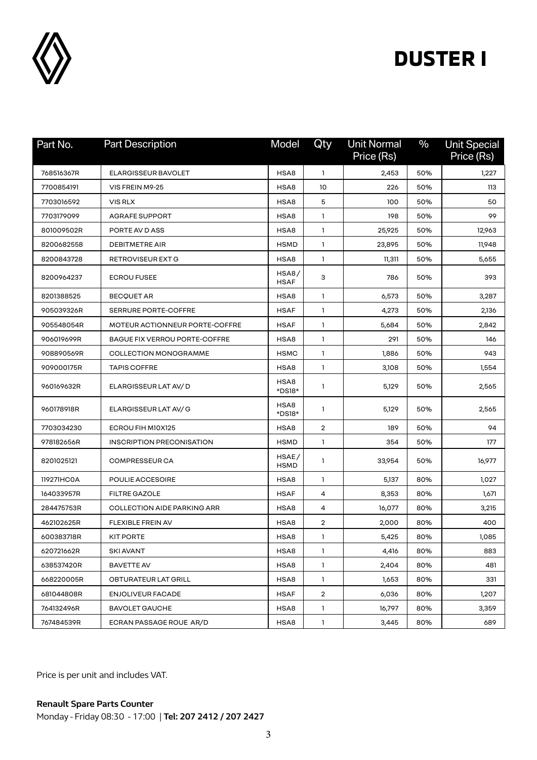

| Part No.   | <b>Part Description</b>        | Model                | Qty            | <b>Unit Normal</b><br>Price (Rs) | $\%$ | <b>Unit Special</b><br>Price (Rs) |
|------------|--------------------------------|----------------------|----------------|----------------------------------|------|-----------------------------------|
| 768516367R | <b>ELARGISSEUR BAVOLET</b>     | HSA8                 | $\mathbf{1}$   | 2,453                            | 50%  | 1,227                             |
| 7700854191 | VIS FREIN M9-25                | HSA8                 | 10             | 226                              | 50%  | 113                               |
| 7703016592 | VIS RLX                        | HSA8                 | 5              | 100                              | 50%  | 50                                |
| 7703179099 | <b>AGRAFE SUPPORT</b>          | HSA8                 | 1              | 198                              | 50%  | 99                                |
| 801009502R | PORTE AV D ASS                 | HSA8                 | 1              | 25,925                           | 50%  | 12,963                            |
| 8200682558 | <b>DEBITMETRE AIR</b>          | <b>HSMD</b>          | 1              | 23,895                           | 50%  | 11,948                            |
| 8200843728 | RETROVISEUR EXT G              | HSA8                 | 1              | 11,311                           | 50%  | 5,655                             |
| 8200964237 | <b>ECROU FUSEE</b>             | HSA8/<br><b>HSAF</b> | 3              | 786                              | 50%  | 393                               |
| 8201388525 | <b>BECQUET AR</b>              | HSA8                 | 1              | 6,573                            | 50%  | 3,287                             |
| 905039326R | <b>SERRURE PORTE-COFFRE</b>    | <b>HSAF</b>          | 1              | 4,273                            | 50%  | 2,136                             |
| 905548054R | MOTEUR ACTIONNEUR PORTE-COFFRE | <b>HSAF</b>          | 1              | 5,684                            | 50%  | 2,842                             |
| 906019699R | BAGUE FIX VERROU PORTE-COFFRE  | HSA8                 | 1              | 291                              | 50%  | 146                               |
| 908890569R | <b>COLLECTION MONOGRAMME</b>   | <b>HSMC</b>          | $\mathbf{1}$   | 1,886                            | 50%  | 943                               |
| 909000175R | <b>TAPIS COFFRE</b>            | HSA8                 | 1              | 3,108                            | 50%  | 1,554                             |
| 960169632R | ELARGISSEUR LAT AV/D           | HSA8<br>*DS18*       | 1              | 5,129                            | 50%  | 2,565                             |
| 960178918R | ELARGISSEUR LAT AV/G           | HSA8<br>*DS18*       | 1              | 5,129                            | 50%  | 2,565                             |
| 7703034230 | ECROU FIH M10X125              | HSA8                 | $\overline{2}$ | 189                              | 50%  | 94                                |
| 978182656R | INSCRIPTION PRECONISATION      | <b>HSMD</b>          | 1              | 354                              | 50%  | 177                               |
| 8201025121 | <b>COMPRESSEUR CA</b>          | HSAE/<br><b>HSMD</b> | 1              | 33,954                           | 50%  | 16,977                            |
| 119271HC0A | POULIE ACCESOIRE               | HSA8                 | 1              | 5,137                            | 80%  | 1,027                             |
| 164033957R | <b>FILTRE GAZOLE</b>           | <b>HSAF</b>          | 4              | 8,353                            | 80%  | 1,671                             |
| 284475753R | COLLECTION AIDE PARKING ARR    | HSA8                 | 4              | 16,077                           | 80%  | 3,215                             |
| 462102625R | <b>FLEXIBLE FREIN AV</b>       | HSA8                 | $\overline{2}$ | 2,000                            | 80%  | 400                               |
| 600383718R | <b>KIT PORTE</b>               | HSA8                 | 1              | 5,425                            | 80%  | 1,085                             |
| 620721662R | <b>SKI AVANT</b>               | HSA8                 | $\mathbf{1}$   | 4,416                            | 80%  | 883                               |
| 638537420R | <b>BAVETTE AV</b>              | HSA8                 | $\mathbf{1}$   | 2,404                            | 80%  | 481                               |
| 668220005R | OBTURATEUR LAT GRILL           | HSA8                 | $\mathbf{1}$   | 1,653                            | 80%  | 331                               |
| 681044808R | <b>ENJOLIVEUR FACADE</b>       | HSAF                 | $\overline{2}$ | 6,036                            | 80%  | 1,207                             |
| 764132496R | <b>BAVOLET GAUCHE</b>          | HSA8                 | $\mathbf{1}$   | 16,797                           | 80%  | 3,359                             |
| 767484539R | ECRAN PASSAGE ROUE AR/D        | HSA8                 | $\mathbf{1}$   | 3,445                            | 80%  | 689                               |

Price is per unit and includes VAT.